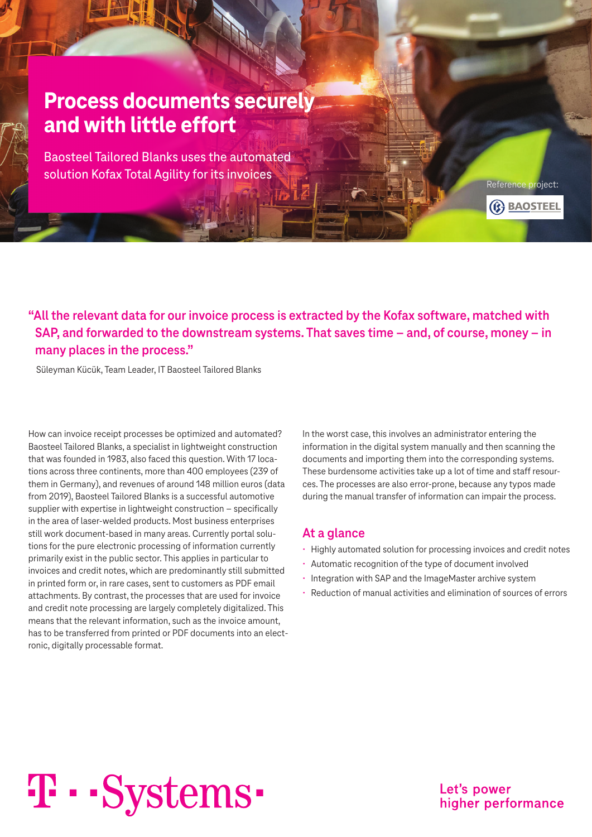# **Process documents securely and with little effort**

Baosteel Tailored Blanks uses the automated solution Kofax Total Agility for its invoices

Reference project: (C) BAOSTEEL

**"All the relevant data for our invoice process is extracted by the Kofax software, matched with SAP, and forwarded to the downstream systems. That saves time – and, of course, money – in many places in the process."**

Süleyman Kücük, Team Leader, IT Baosteel Tailored Blanks

How can invoice receipt processes be optimized and automated? Baosteel Tailored Blanks, a specialist in lightweight construction that was founded in 1983, also faced this question. With 17 locations across three continents, more than 400 employees (239 of them in Germany), and revenues of around 148 million euros (data from 2019), Baosteel Tailored Blanks is a successful automotive supplier with expertise in lightweight construction – specifically in the area of laser-welded products. Most business enterprises still work document-based in many areas. Currently portal solutions for the pure electronic processing of information currently primarily exist in the public sector. This applies in particular to invoices and credit notes, which are predominantly still submitted in printed form or, in rare cases, sent to customers as PDF email attachments. By contrast, the processes that are used for invoice and credit note processing are largely completely digitalized. This means that the relevant information, such as the invoice amount, has to be transferred from printed or PDF documents into an electronic, digitally processable format.

In the worst case, this involves an administrator entering the information in the digital system manually and then scanning the documents and importing them into the corresponding systems. These burdensome activities take up a lot of time and staff resources. The processes are also error-prone, because any typos made during the manual transfer of information can impair the process.

#### **At a glance**

- Highly automated solution for processing invoices and credit notes
- Automatic recognition of the type of document involved
- Integration with SAP and the ImageMaster archive system
- Reduction of manual activities and elimination of sources of errors

# T · · Systems ·

Let's power higher performance